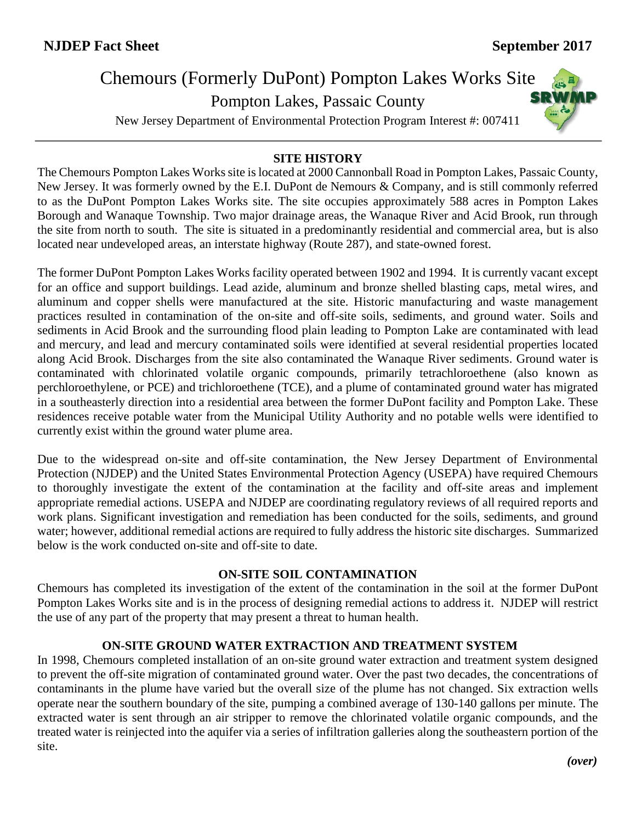# Chemours (Formerly DuPont) Pompton Lakes Works Site

Pompton Lakes, Passaic County

New Jersey Department of Environmental Protection Program Interest #: 007411



### **SITE HISTORY**

The Chemours Pompton Lakes Works site is located at 2000 Cannonball Road in Pompton Lakes, Passaic County, New Jersey. It was formerly owned by the E.I. DuPont de Nemours & Company, and is still commonly referred to as the DuPont Pompton Lakes Works site. The site occupies approximately 588 acres in Pompton Lakes Borough and Wanaque Township. Two major drainage areas, the Wanaque River and Acid Brook, run through the site from north to south. The site is situated in a predominantly residential and commercial area, but is also located near undeveloped areas, an interstate highway (Route 287), and state-owned forest.

The former DuPont Pompton Lakes Works facility operated between 1902 and 1994. It is currently vacant except for an office and support buildings. Lead azide, aluminum and bronze shelled blasting caps, metal wires, and aluminum and copper shells were manufactured at the site. Historic manufacturing and waste management practices resulted in contamination of the on-site and off-site soils, sediments, and ground water. Soils and sediments in Acid Brook and the surrounding flood plain leading to Pompton Lake are contaminated with lead and mercury, and lead and mercury contaminated soils were identified at several residential properties located along Acid Brook. Discharges from the site also contaminated the Wanaque River sediments. Ground water is contaminated with chlorinated volatile organic compounds, primarily tetrachloroethene (also known as perchloroethylene, or PCE) and trichloroethene (TCE), and a plume of contaminated ground water has migrated in a southeasterly direction into a residential area between the former DuPont facility and Pompton Lake. These residences receive potable water from the Municipal Utility Authority and no potable wells were identified to currently exist within the ground water plume area.

Due to the widespread on-site and off-site contamination, the New Jersey Department of Environmental Protection (NJDEP) and the United States Environmental Protection Agency (USEPA) have required Chemours to thoroughly investigate the extent of the contamination at the facility and off-site areas and implement appropriate remedial actions. USEPA and NJDEP are coordinating regulatory reviews of all required reports and work plans. Significant investigation and remediation has been conducted for the soils, sediments, and ground water; however, additional remedial actions are required to fully address the historic site discharges. Summarized below is the work conducted on-site and off-site to date.

## **ON-SITE SOIL CONTAMINATION**

Chemours has completed its investigation of the extent of the contamination in the soil at the former DuPont Pompton Lakes Works site and is in the process of designing remedial actions to address it. NJDEP will restrict the use of any part of the property that may present a threat to human health.

#### **ON-SITE GROUND WATER EXTRACTION AND TREATMENT SYSTEM**

In 1998, Chemours completed installation of an on-site ground water extraction and treatment system designed to prevent the off-site migration of contaminated ground water. Over the past two decades, the concentrations of contaminants in the plume have varied but the overall size of the plume has not changed. Six extraction wells operate near the southern boundary of the site, pumping a combined average of 130-140 gallons per minute. The extracted water is sent through an air stripper to remove the chlorinated volatile organic compounds, and the treated water is reinjected into the aquifer via a series of infiltration galleries along the southeastern portion of the site.